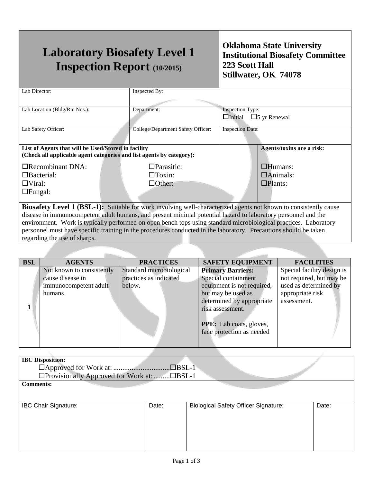## **Laboratory Biosafety Level 1 Inspection Report (10/2015)**

## **Oklahoma State University Institutional Biosafety Committee 223 Scott Hall Stillwater, OK 74078**

| Lab Director:                                                                                                           | Inspected By:                      |                         |                           |  |
|-------------------------------------------------------------------------------------------------------------------------|------------------------------------|-------------------------|---------------------------|--|
|                                                                                                                         |                                    |                         |                           |  |
| Lab Location (Bldg/Rm Nos.):                                                                                            | Department:                        | <b>Inspection Type:</b> |                           |  |
|                                                                                                                         |                                    | $\Box$ Initial          | $\Box$ 5 yr Renewal       |  |
| Lab Safety Officer:                                                                                                     | College/Department Safety Officer: | <b>Inspection Date:</b> |                           |  |
|                                                                                                                         |                                    |                         |                           |  |
|                                                                                                                         |                                    |                         |                           |  |
| List of Agents that will be Used/Stored in facility                                                                     |                                    |                         | Agents/toxins are a risk: |  |
| (Check all applicable agent categories and list agents by category):                                                    |                                    |                         |                           |  |
| $\Box$ Recombinant DNA:                                                                                                 | $\Box$ Parasitic:                  |                         | $\Box$ Humans:            |  |
| $\Box$ Bacterial:                                                                                                       | $\Box$ Toxin:                      |                         | $\Box$ Animals:           |  |
| $\Box$ Viral:                                                                                                           | $\Box$ Other:                      |                         | $\Box$ Plants:            |  |
| $\Box$ Fungal:                                                                                                          |                                    |                         |                           |  |
|                                                                                                                         |                                    |                         |                           |  |
| <b>Biosafety Level 1 (BSL-1):</b> Suitable for work involving well-characterized agents not known to consistently cause |                                    |                         |                           |  |
| disease in immunocompetent adult humans, and present minimal potential hazard to laboratory personnel and the           |                                    |                         |                           |  |

environment. Work is typically performed on open bench tops using standard microbiological practices. Laboratory personnel must have specific training in the procedures conducted in the laboratory. Precautions should be taken regarding the use of sharps.

| <b>BSL</b> | <b>AGENTS</b>             | <b>PRACTICES</b>         | <b>SAFETY EQUIPMENT</b>        | <b>FACILITIES</b>          |
|------------|---------------------------|--------------------------|--------------------------------|----------------------------|
|            | Not known to consistently | Standard microbiological | <b>Primary Barriers:</b>       | Special facility design is |
|            | cause disease in          | practices as indicated   | Special containment            | not required, but may be   |
|            | immunocompetent adult     | below.                   | equipment is not required,     | used as determined by      |
|            | humans.                   |                          | but may be used as             | appropriate risk           |
|            |                           |                          | determined by appropriate      | assessment.                |
|            |                           |                          | risk assessment.               |                            |
|            |                           |                          |                                |                            |
|            |                           |                          | <b>PPE:</b> Lab coats, gloves, |                            |
|            |                           |                          | face protection as needed      |                            |
|            |                           |                          |                                |                            |
|            |                           |                          |                                |                            |

| <b>IBC</b> Disposition:<br>$\Box$ BSL-1<br>□Provisionally Approved for Work at:□BSL-1 |       |                                             |       |  |  |
|---------------------------------------------------------------------------------------|-------|---------------------------------------------|-------|--|--|
| <b>Comments:</b>                                                                      |       |                                             |       |  |  |
| <b>IBC Chair Signature:</b>                                                           | Date: | <b>Biological Safety Officer Signature:</b> | Date: |  |  |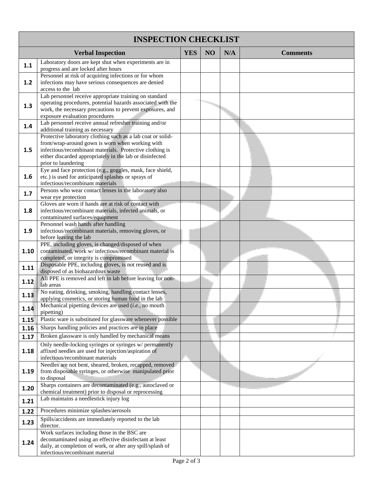| <b>INSPECTION CHECKLIST</b> |                                                                                                                          |            |    |     |                 |  |
|-----------------------------|--------------------------------------------------------------------------------------------------------------------------|------------|----|-----|-----------------|--|
| <b>Verbal Inspection</b>    |                                                                                                                          | <b>YES</b> | NO | N/A | <b>Comments</b> |  |
| 1.1                         | Laboratory doors are kept shut when experiments are in                                                                   |            |    |     |                 |  |
|                             | progress and are locked after hours<br>Personnel at risk of acquiring infections or for whom                             |            |    |     |                 |  |
| $1.2$                       | infections may have serious consequences are denied                                                                      |            |    |     |                 |  |
|                             | access to the lab                                                                                                        |            |    |     |                 |  |
|                             | Lab personnel receive appropriate training on standard                                                                   |            |    |     |                 |  |
| 1.3                         | operating procedures, potential hazards associated with the<br>work, the necessary precautions to prevent exposures, and |            |    |     |                 |  |
|                             | exposure evaluation procedures                                                                                           |            |    |     |                 |  |
| 1.4                         | Lab personnel receive annual refresher training and/or                                                                   |            |    |     |                 |  |
|                             | additional training as necessary<br>Protective laboratory clothing such as a lab coat or solid-                          |            |    |     |                 |  |
|                             | front/wrap-around gown is worn when working with                                                                         |            |    |     |                 |  |
| 1.5                         | infectious/recombinant materials. Protective clothing is                                                                 |            |    |     |                 |  |
|                             | either discarded appropriately in the lab or disinfected                                                                 |            |    |     |                 |  |
|                             | prior to laundering<br>Eye and face protection (e.g., goggles, mask, face shield,                                        |            |    |     |                 |  |
| 1.6                         | etc.) is used for anticipated splashes or sprays of                                                                      |            |    |     |                 |  |
|                             | infectious/recombinant materials                                                                                         |            |    |     |                 |  |
| 1.7                         | Persons who wear contact lenses in the laboratory also<br>wear eye protection                                            |            |    |     |                 |  |
|                             | Gloves are worn if hands are at risk of contact with                                                                     |            |    |     |                 |  |
| 1.8                         | infectious/recombinant materials, infected animals, or                                                                   |            |    |     |                 |  |
|                             | contaminated surfaces/equipment<br>Personnel wash hands after handling                                                   |            |    |     |                 |  |
| 1.9                         | infectious/recombinant materials, removing gloves, or                                                                    |            |    |     |                 |  |
|                             | before leaving the lab                                                                                                   |            |    |     |                 |  |
| 1.10                        | PPE, including gloves, is changed/disposed of when<br>contaminated, work w/ infectious/recombinant material is           |            |    |     |                 |  |
|                             | completed, or integrity is compromised                                                                                   |            |    |     |                 |  |
| 1.11                        | Disposable PPE, including gloves, is not reused and is                                                                   |            |    |     |                 |  |
|                             | disposed of as biohazardous waste<br>All PPE is removed and left in lab before leaving for non-                          |            |    |     |                 |  |
| 1.12                        | lab areas                                                                                                                |            |    |     |                 |  |
| 1.13                        | No eating, drinking, smoking, handling contact lenses,                                                                   |            |    |     |                 |  |
|                             | applying cosmetics, or storing human food in the lab<br>Mechanical pipetting devices are used (i.e., no mouth            |            |    |     |                 |  |
| 1.14                        | pipetting)                                                                                                               |            |    |     |                 |  |
| $1.15$                      | Plastic ware is substituted for glassware whenever possible                                                              |            |    |     |                 |  |
| 1.16                        | Sharps handling policies and practices are in place                                                                      |            |    |     |                 |  |
| 1.17                        | Broken glassware is only handled by mechanical means                                                                     |            |    |     |                 |  |
| 1.18                        | Only needle-locking syringes or syringes w/ permanently<br>affixed needles are used for injection/aspiration of          |            |    |     |                 |  |
|                             | infectious/recombinant materials                                                                                         |            |    |     |                 |  |
|                             | Needles are not bent, sheared, broken, recapped, removed                                                                 |            |    |     |                 |  |
| 1.19                        | from disposable syringes, or otherwise manipulated prior                                                                 |            |    |     |                 |  |
|                             | to disposal<br>Sharps containers are decontaminated (e.g., autoclaved or                                                 |            |    |     |                 |  |
| 1.20                        | chemical treatment) prior to disposal or reprocessing                                                                    |            |    |     |                 |  |
| 1.21                        | Lab maintains a needlestick injury log                                                                                   |            |    |     |                 |  |
| 1.22                        | Procedures minimize splashes/aerosols                                                                                    |            |    |     |                 |  |
| 1.23                        | Spills/accidents are immediately reported to the lab                                                                     |            |    |     |                 |  |
|                             | director.<br>Work surfaces including those in the BSC are                                                                |            |    |     |                 |  |
|                             | decontaminated using an effective disinfectant at least                                                                  |            |    |     |                 |  |
| 1.24                        | daily, at completion of work, or after any spill/splash of                                                               |            |    |     |                 |  |
|                             | infectious/recombinant material                                                                                          |            |    |     |                 |  |